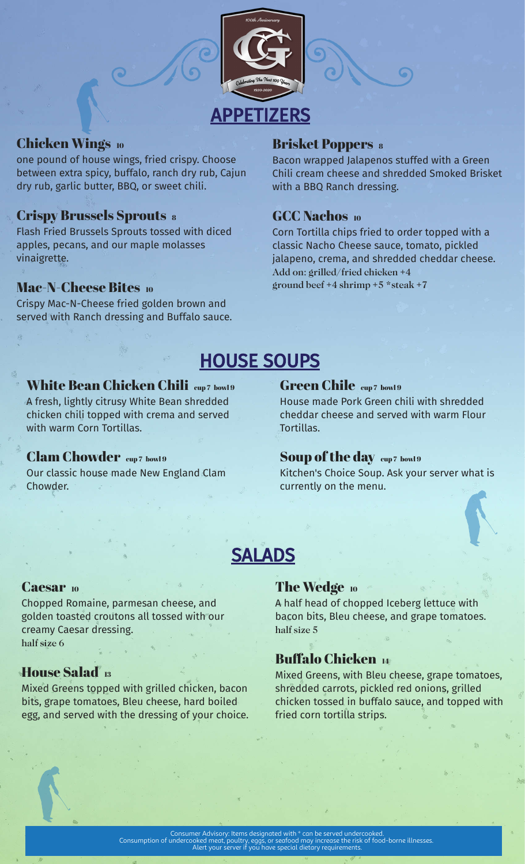

## Chicken Wings 10

one pound of house wings, fried crispy. Choose between extra spicy, buffalo, ranch dry rub, Cajun dry rub, garlic butter, BBQ, or sweet chili.

## **Crispy Brussels Sprouts 8**

Flash Fried Brussels Sprouts tossed with diced apples, pecans, and our maple molasses vinaigrette.

## Mac-N-Cheese Bites 10

Crispy Mac-N-Cheese fried golden brown and served with Ranch dressing and Buffalo sauce.

## **Brisket Poppers 8**

Bacon wrapped Jalapenos stuffed with a Green Chili cream cheese and shredded Smoked Brisket with a BBQ Ranch dressing.

## GCC Nachos 10

Corn Tortilla chips fried to order topped with a classic Nacho Cheese sauce, tomato, pickled jalapeno, crema, and shredded cheddar cheese. Add on: grilled/fried chicken +4 ground beef  $+4$  shrimp  $+5$  \*steak  $+7$ 

# HOUSE SOUPS

#### White Bean Chicken Chili cup7 bowl9

A fresh, lightly citrusy White Bean shredded chicken chili topped with crema and served with warm Corn Tortillas.

### Clam Chowder cup7 bowl9

Our classic house made New England Clam Chowder.

## Green Chile cup7 bowl9

House made Pork Green chili with shredded cheddar cheese and served with warm Flour Tortillas.

### Soup of the day cup 7 bowl 9

Kitchen's Choice Soup. Ask your server what is currently on the menu.

## SALADS

### Caesar 10

Chopped Romaine, parmesan cheese, and golden toasted croutons all tossed with our creamy Caesar dressing. half size 6

## House Salad <sup>13</sup>

Mixed Greens topped with grilled chicken, bacon bits, grape tomatoes, Bleu cheese, hard boiled egg, and served with the dressing of your choice.

### The Wedge 10

A half head of chopped Iceberg lettuce with bacon bits, Bleu cheese, and grape tomatoes. half size 5

## Buffalo Chicken <sup>14</sup>

Mixed Greens, with Bleu cheese, grape tomatoes, shredded carrots, pickled red onions, grilled chicken tossed in buffalo sauce, and topped with fried corn tortilla strips.